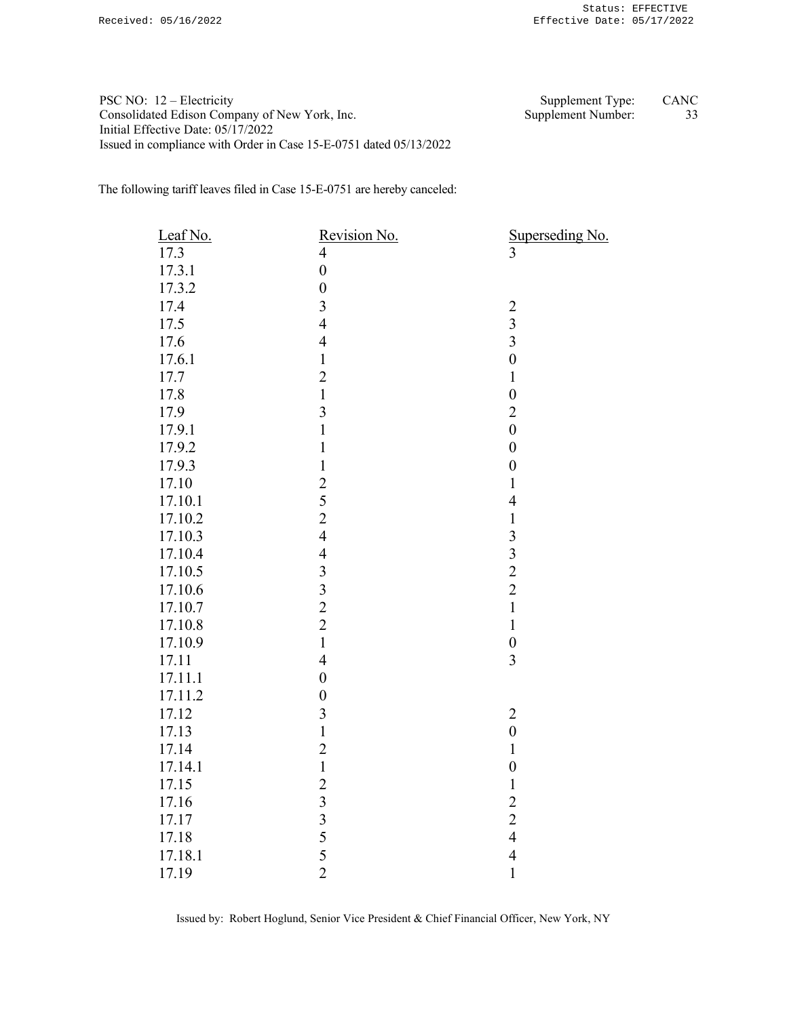PSC NO: 12 – Electricity Supplement Type: CANC Consolidated Edison Company of New York, Inc. Supplement Number: 33 Initial Effective Date: 05/17/2022 Issued in compliance with Order in Case 15-E-0751 dated 05/13/2022

The following tariff leaves filed in Case 15-E-0751 are hereby canceled:

| Leaf No. | Revision No.                               | $\frac{\text{Superseding No.}}{3}$ |
|----------|--------------------------------------------|------------------------------------|
| 17.3     | $\overline{\mathcal{L}}$                   |                                    |
| 17.3.1   | $\overline{0}$                             |                                    |
| 17.3.2   | $\overline{0}$                             |                                    |
| 17.4     | $\overline{\mathbf{3}}$                    |                                    |
| 17.5     | $\overline{4}$                             | $\frac{2}{3}$                      |
| 17.6     | $\overline{4}$                             | $\overline{3}$                     |
| 17.6.1   | $\,1$                                      | $\overline{0}$                     |
| 17.7     | $\overline{2}$                             | $\mathbf{1}$                       |
| 17.8     | $\mathbf{1}$                               | $\boldsymbol{0}$                   |
| 17.9     | $\overline{\mathbf{3}}$                    | $\overline{2}$                     |
| 17.9.1   | $\mathbf{1}$                               | $\boldsymbol{0}$                   |
| 17.9.2   | $\mathbf{1}$                               | $\boldsymbol{0}$                   |
| 17.9.3   | $\mathbf 1$                                | $\boldsymbol{0}$                   |
| 17.10    |                                            | $\mathbf{1}$                       |
| 17.10.1  | $\begin{array}{c} 2 \\ 5 \\ 2 \end{array}$ | $\overline{4}$                     |
| 17.10.2  |                                            | $\mathbf{1}$                       |
| 17.10.3  | $\overline{4}$                             | $\overline{\mathbf{3}}$            |
| 17.10.4  | $\overline{4}$                             | $\overline{\mathbf{3}}$            |
| 17.10.5  | $\overline{\mathbf{3}}$                    | $\frac{2}{2}$                      |
| 17.10.6  | $\begin{array}{c} 3 \\ 2 \\ 2 \end{array}$ |                                    |
| 17.10.7  |                                            | $\mathbf{1}$                       |
| 17.10.8  |                                            | $\mathbf{1}$                       |
| 17.10.9  | $\mathbf{1}$                               | $\boldsymbol{0}$                   |
| 17.11    | $\overline{4}$                             | $\overline{3}$                     |
| 17.11.1  | $\boldsymbol{0}$                           |                                    |
| 17.11.2  | $\overline{0}$                             |                                    |
| 17.12    | $\overline{\mathbf{3}}$                    | $\boldsymbol{2}$                   |
| 17.13    | $\mathbf{1}$                               | $\boldsymbol{0}$                   |
| 17.14    | $\overline{c}$                             | $\mathbf{1}$                       |
| 17.14.1  | $\mathbf{1}$                               | $\boldsymbol{0}$                   |
| 17.15    | $\frac{2}{3}$                              | $\mathbf 1$                        |
| 17.16    |                                            | $\overline{c}$                     |
| 17.17    |                                            | $\overline{c}$                     |
| 17.18    | $\begin{array}{c} 3 \\ 5 \\ 5 \end{array}$ | $\overline{4}$                     |
| 17.18.1  |                                            | $\overline{4}$                     |
| 17.19    | $\overline{2}$                             | $\mathbf{1}$                       |

Issued by: Robert Hoglund, Senior Vice President & Chief Financial Officer, New York, NY